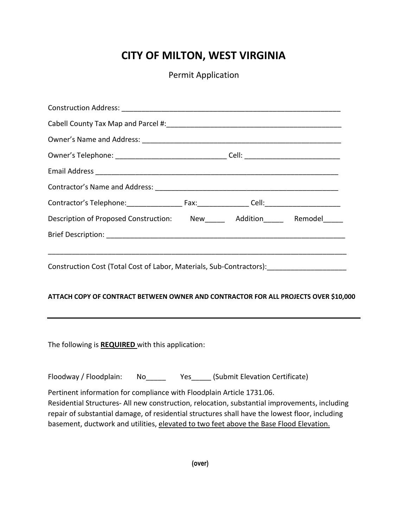## **CITY OF MILTON, WEST VIRGINIA**

Permit Application

| Description of Proposed Construction: New ______ Addition_____ Remodel_____                                                                                                                                                                                                                                                                                        |  |  |  |
|--------------------------------------------------------------------------------------------------------------------------------------------------------------------------------------------------------------------------------------------------------------------------------------------------------------------------------------------------------------------|--|--|--|
|                                                                                                                                                                                                                                                                                                                                                                    |  |  |  |
| ATTACH COPY OF CONTRACT BETWEEN OWNER AND CONTRACTOR FOR ALL PROJECTS OVER \$10,000                                                                                                                                                                                                                                                                                |  |  |  |
| The following is REQUIRED with this application:                                                                                                                                                                                                                                                                                                                   |  |  |  |
| Floodway / Floodplain: No Yes (Submit Elevation Certificate)                                                                                                                                                                                                                                                                                                       |  |  |  |
| Pertinent information for compliance with Floodplain Article 1731.06.<br>Residential Structures- All new construction, relocation, substantial improvements, including<br>repair of substantial damage, of residential structures shall have the lowest floor, including<br>basement, ductwork and utilities, elevated to two feet above the Base Flood Elevation. |  |  |  |